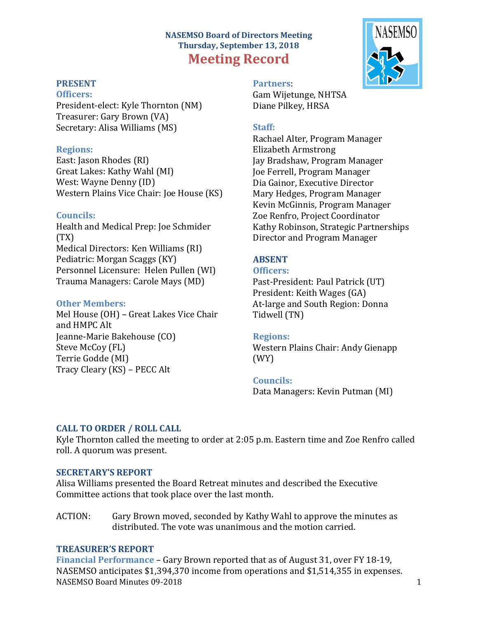# **NASEMSO Board of Directors Meeting Thursday, September 13, 2018 Meeting Record**

## **PRESENT**

#### **Officers:**

President-elect: Kyle Thornton (NM) Treasurer: Gary Brown (VA) Secretary: Alisa Williams (MS)

### **Regions:**

East: Jason Rhodes (RI) Great Lakes: Kathy Wahl (MI) West: Wayne Denny (ID) Western Plains Vice Chair: Joe House (KS)

### **Councils:**

Health and Medical Prep: Joe Schmider (TX) Medical Directors: Ken Williams (RI) Pediatric: Morgan Scaggs (KY) Personnel Licensure: Helen Pullen (WI) Trauma Managers: Carole Mays (MD)

### **Other Members:**

Mel House (OH) – Great Lakes Vice Chair and HMPC Alt Jeanne-Marie Bakehouse (CO) Steve McCoy (FL) Terrie Godde (MI) Tracy Cleary (KS) – PECC Alt



**Partners**: Gam Wijetunge, NHTSA Diane Pilkey, HRSA

### **Staff:**

Rachael Alter, Program Manager Elizabeth Armstrong Jay Bradshaw, Program Manager Joe Ferrell, Program Manager Dia Gainor, Executive Director Mary Hedges, Program Manager Kevin McGinnis, Program Manager Zoe Renfro, Project Coordinator Kathy Robinson, Strategic Partnerships Director and Program Manager

## **ABSENT**

#### **Officers:**

Past-President: Paul Patrick (UT) President: Keith Wages (GA) At-large and South Region: Donna Tidwell (TN)

### **Regions:**

Western Plains Chair: Andy Gienapp (WY)

## **Councils:**

Data Managers: Kevin Putman (MI)

### **CALL TO ORDER / ROLL CALL**

Kyle Thornton called the meeting to order at 2:05 p.m. Eastern time and Zoe Renfro called roll. A quorum was present.

### **SECRETARY'S REPORT**

Alisa Williams presented the Board Retreat minutes and described the Executive Committee actions that took place over the last month.

ACTION: Gary Brown moved, seconded by Kathy Wahl to approve the minutes as distributed. The vote was unanimous and the motion carried.

### **TREASURER'S REPORT**

NASEMSO Board Minutes 09-2018 1 **Financial Performance** – Gary Brown reported that as of August 31, over FY 18-19, NASEMSO anticipates \$1,394,370 income from operations and \$1,514,355 in expenses.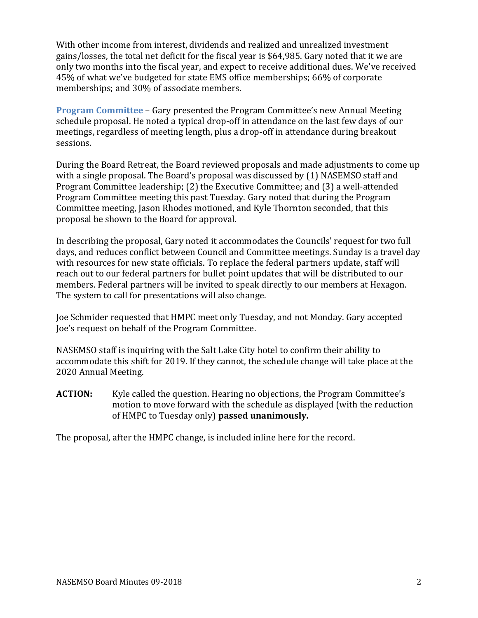With other income from interest, dividends and realized and unrealized investment gains/losses, the total net deficit for the fiscal year is \$64,985. Gary noted that it we are only two months into the fiscal year, and expect to receive additional dues. We've received 45% of what we've budgeted for state EMS office memberships; 66% of corporate memberships; and 30% of associate members.

**Program Committee** – Gary presented the Program Committee's new Annual Meeting schedule proposal. He noted a typical drop-off in attendance on the last few days of our meetings, regardless of meeting length, plus a drop-off in attendance during breakout sessions.

During the Board Retreat, the Board reviewed proposals and made adjustments to come up with a single proposal. The Board's proposal was discussed by (1) NASEMSO staff and Program Committee leadership; (2) the Executive Committee; and (3) a well-attended Program Committee meeting this past Tuesday. Gary noted that during the Program Committee meeting, Jason Rhodes motioned, and Kyle Thornton seconded, that this proposal be shown to the Board for approval.

In describing the proposal, Gary noted it accommodates the Councils' request for two full days, and reduces conflict between Council and Committee meetings. Sunday is a travel day with resources for new state officials. To replace the federal partners update, staff will reach out to our federal partners for bullet point updates that will be distributed to our members. Federal partners will be invited to speak directly to our members at Hexagon. The system to call for presentations will also change.

Joe Schmider requested that HMPC meet only Tuesday, and not Monday. Gary accepted Joe's request on behalf of the Program Committee.

NASEMSO staff is inquiring with the Salt Lake City hotel to confirm their ability to accommodate this shift for 2019. If they cannot, the schedule change will take place at the 2020 Annual Meeting.

**ACTION:** Kyle called the question. Hearing no objections, the Program Committee's motion to move forward with the schedule as displayed (with the reduction of HMPC to Tuesday only) **passed unanimously.**

The proposal, after the HMPC change, is included inline here for the record.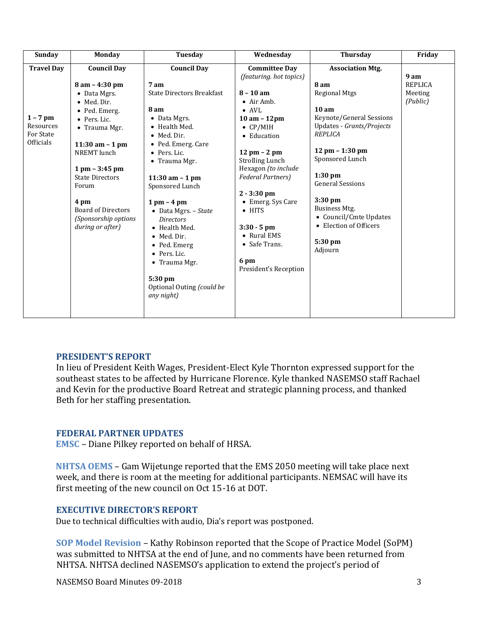| Sunday                                                                 | <b>Monday</b>                                                                                                                                                                                                                                                                                           | <b>Tuesday</b>                                                                                                                                                                                                                                                                                                                                                                                                                                  | Wednesday                                                                                                                                                                                                                                                                                                                                                                                                              | <b>Thursday</b>                                                                                                                                                                                                                                                                                                                                                | Friday                                        |
|------------------------------------------------------------------------|---------------------------------------------------------------------------------------------------------------------------------------------------------------------------------------------------------------------------------------------------------------------------------------------------------|-------------------------------------------------------------------------------------------------------------------------------------------------------------------------------------------------------------------------------------------------------------------------------------------------------------------------------------------------------------------------------------------------------------------------------------------------|------------------------------------------------------------------------------------------------------------------------------------------------------------------------------------------------------------------------------------------------------------------------------------------------------------------------------------------------------------------------------------------------------------------------|----------------------------------------------------------------------------------------------------------------------------------------------------------------------------------------------------------------------------------------------------------------------------------------------------------------------------------------------------------------|-----------------------------------------------|
| <b>Travel Day</b><br>$1 - 7$ pm<br>Resources<br>For State<br>Officials | <b>Council Day</b><br>$8$ am $-$ 4:30 pm<br>• Data Mgrs.<br>• Med. Dir.<br>• Ped. Emerg.<br>• Pers. Lic.<br>• Trauma Mgr.<br>11:30 am $-1$ pm<br>NREMT lunch<br>$1$ pm $-$ 3:45 pm<br><b>State Directors</b><br>Forum<br>4 pm<br><b>Board of Directors</b><br>(Sponsorship options)<br>during or after) | <b>Council Day</b><br>7 am<br><b>State Directors Breakfast</b><br>8 am<br>$\bullet$ Data Mgrs.<br>• Health Med.<br>• Med. Dir.<br>• Ped. Emerg. Care<br>• Pers. Lic.<br>• Trauma Mgr.<br>11:30 am - 1 pm<br>Sponsored Lunch<br>$1 \text{ pm} - 4 \text{ pm}$<br>• Data Mgrs. - State<br><b>Directors</b><br>• Health Med.<br>• Med. Dir.<br>• Ped. Emerg<br>• Pers. Lic.<br>• Trauma Mgr.<br>5:30 pm<br>Optional Outing (could be<br>any night) | <b>Committee Day</b><br>(featuring. hot topics)<br>$8 - 10$ am<br>$\bullet$ Air Amb.<br>$\bullet$ AVL<br>$10$ am $- 12$ pm<br>$\bullet$ CP/MIH<br>• Education<br>$12 \text{ pm} - 2 \text{ pm}$<br><b>Strolling Lunch</b><br>Hexagon (to include<br><b>Federal Partners)</b><br>$2 - 3:30$ pm<br>• Emerg. Sys Care<br>$\bullet$ HITS<br>$3:30 - 5$ pm<br>• Rural EMS<br>• Safe Trans.<br>6 pm<br>President's Reception | <b>Association Mtg.</b><br>8 am<br><b>Regional Mtgs</b><br>10 <sub>am</sub><br>Keynote/General Sessions<br>Updates - Grants/Projects<br><b>REPLICA</b><br>$12 \text{ pm} - 1:30 \text{ pm}$<br>Sponsored Lunch<br>$1:30$ pm<br><b>General Sessions</b><br>$3:30$ pm<br>Business Mtg.<br>• Council/Cmte Updates<br>• Election of Officers<br>5:30 pm<br>Adjourn | 9 am<br><b>REPLICA</b><br>Meeting<br>(Public) |

### **PRESIDENT'S REPORT**

In lieu of President Keith Wages, President-Elect Kyle Thornton expressed support for the southeast states to be affected by Hurricane Florence. Kyle thanked NASEMSO staff Rachael and Kevin for the productive Board Retreat and strategic planning process, and thanked Beth for her staffing presentation.

### **FEDERAL PARTNER UPDATES**

**EMSC** – Diane Pilkey reported on behalf of HRSA.

**NHTSA OEMS** – Gam Wijetunge reported that the EMS 2050 meeting will take place next week, and there is room at the meeting for additional participants. NEMSAC will have its first meeting of the new council on Oct 15-16 at DOT.

### **EXECUTIVE DIRECTOR'S REPORT**

Due to technical difficulties with audio, Dia's report was postponed.

**SOP Model Revision** – Kathy Robinson reported that the Scope of Practice Model (SoPM) was submitted to NHTSA at the end of June, and no comments have been returned from NHTSA. NHTSA declined NASEMSO's application to extend the project's period of

NASEMSO Board Minutes 09-2018 3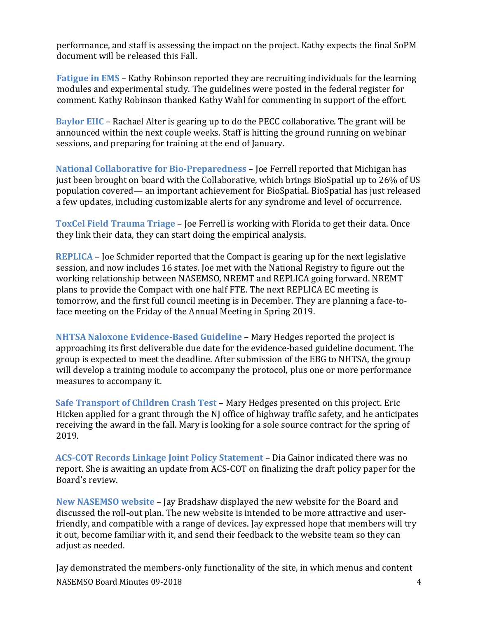performance, and staff is assessing the impact on the project. Kathy expects the final SoPM document will be released this Fall.

**Fatigue in EMS** – Kathy Robinson reported they are recruiting individuals for the learning modules and experimental study. The guidelines were posted in the federal register for comment. Kathy Robinson thanked Kathy Wahl for commenting in support of the effort.

**Baylor EIIC** – Rachael Alter is gearing up to do the PECC collaborative. The grant will be announced within the next couple weeks. Staff is hitting the ground running on webinar sessions, and preparing for training at the end of January.

**National Collaborative for Bio-Preparedness** – Joe Ferrell reported that Michigan has just been brought on board with the Collaborative, which brings BioSpatial up to 26% of US population covered— an important achievement for BioSpatial. BioSpatial has just released a few updates, including customizable alerts for any syndrome and level of occurrence.

**ToxCel Field Trauma Triage** – Joe Ferrell is working with Florida to get their data. Once they link their data, they can start doing the empirical analysis.

**REPLICA** – Joe Schmider reported that the Compact is gearing up for the next legislative session, and now includes 16 states. Joe met with the National Registry to figure out the working relationship between NASEMSO, NREMT and REPLICA going forward. NREMT plans to provide the Compact with one half FTE. The next REPLICA EC meeting is tomorrow, and the first full council meeting is in December. They are planning a face-toface meeting on the Friday of the Annual Meeting in Spring 2019.

**NHTSA Naloxone Evidence-Based Guideline** – Mary Hedges reported the project is approaching its first deliverable due date for the evidence-based guideline document. The group is expected to meet the deadline. After submission of the EBG to NHTSA, the group will develop a training module to accompany the protocol, plus one or more performance measures to accompany it.

**Safe Transport of Children Crash Test** – Mary Hedges presented on this project. Eric Hicken applied for a grant through the NJ office of highway traffic safety, and he anticipates receiving the award in the fall. Mary is looking for a sole source contract for the spring of 2019.

**ACS-COT Records Linkage Joint Policy Statement** – Dia Gainor indicated there was no report. She is awaiting an update from ACS-COT on finalizing the draft policy paper for the Board's review.

**New NASEMSO website** – Jay Bradshaw displayed the new website for the Board and discussed the roll-out plan. The new website is intended to be more attractive and userfriendly, and compatible with a range of devices. Jay expressed hope that members will try it out, become familiar with it, and send their feedback to the website team so they can adjust as needed.

NASEMSO Board Minutes 09-2018 4 Jay demonstrated the members-only functionality of the site, in which menus and content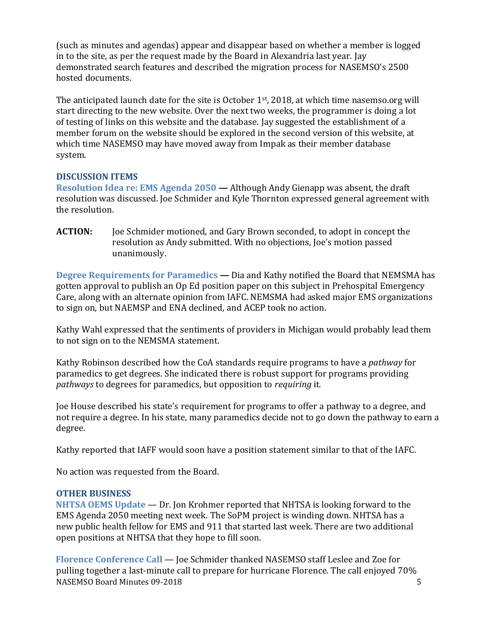(such as minutes and agendas) appear and disappear based on whether a member is logged in to the site, as per the request made by the Board in Alexandria last year. Jay demonstrated search features and described the migration process for NASEMSO's 2500 hosted documents.

The anticipated launch date for the site is October 1<sup>st</sup>, 2018, at which time nasemso.org will start directing to the new website. Over the next two weeks, the programmer is doing a lot of testing of links on this website and the database. Jay suggested the establishment of a member forum on the website should be explored in the second version of this website, at which time NASEMSO may have moved away from Impak as their member database system.

## **DISCUSSION ITEMS**

**Resolution Idea re: EMS Agenda 2050 —** Although Andy Gienapp was absent, the draft resolution was discussed. Joe Schmider and Kyle Thornton expressed general agreement with the resolution.

**ACTION:** Joe Schmider motioned, and Gary Brown seconded, to adopt in concept the resolution as Andy submitted. With no objections, Joe's motion passed unanimously.

**Degree Requirements for Paramedics —** Dia and Kathy notified the Board that NEMSMA has gotten approval to publish an Op Ed position paper on this subject in Prehospital Emergency Care, along with an alternate opinion from IAFC. NEMSMA had asked major EMS organizations to sign on, but NAEMSP and ENA declined, and ACEP took no action.

Kathy Wahl expressed that the sentiments of providers in Michigan would probably lead them to not sign on to the NEMSMA statement.

Kathy Robinson described how the CoA standards require programs to have a *pathway* for paramedics to get degrees. She indicated there is robust support for programs providing *pathways* to degrees for paramedics, but opposition to *requiring* it.

Joe House described his state's requirement for programs to offer a pathway to a degree, and not require a degree. In his state, many paramedics decide not to go down the pathway to earn a degree.

Kathy reported that IAFF would soon have a position statement similar to that of the IAFC.

No action was requested from the Board.

# **OTHER BUSINESS**

**NHTSA OEMS Update** — Dr. Jon Krohmer reported that NHTSA is looking forward to the EMS Agenda 2050 meeting next week. The SoPM project is winding down. NHTSA has a new public health fellow for EMS and 911 that started last week. There are two additional open positions at NHTSA that they hope to fill soon.

NASEMSO Board Minutes 09-2018 5 **Florence Conference Call** — Joe Schmider thanked NASEMSO staff Leslee and Zoe for pulling together a last-minute call to prepare for hurricane Florence. The call enjoyed 70%